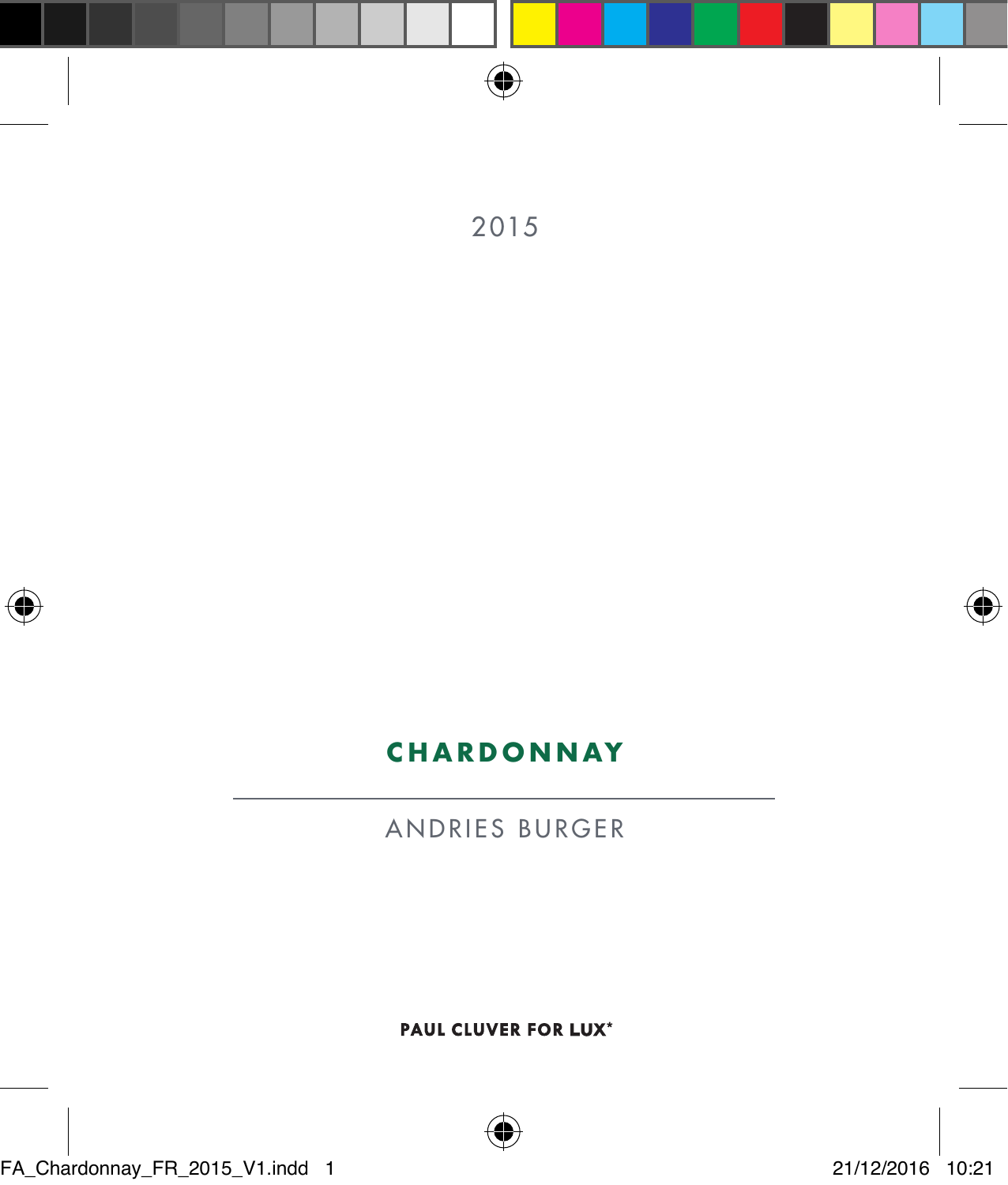







## **CHARDONNAY**

ANDRIES BURGER

PAUL CLUVER FOR LUX\*

FA\_Chardonnay\_FR\_2015\_V1.indd 1 21/12/2016 10:21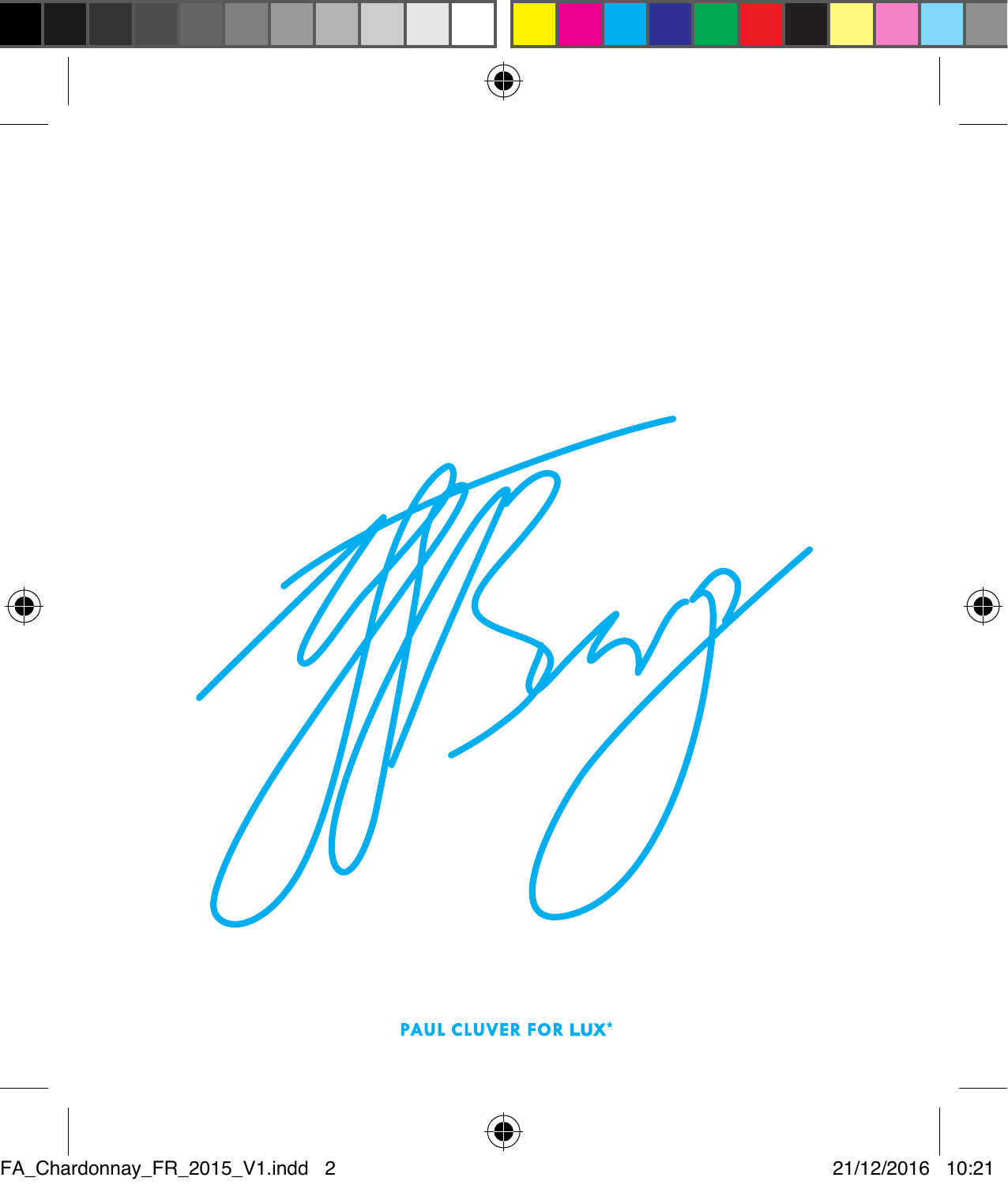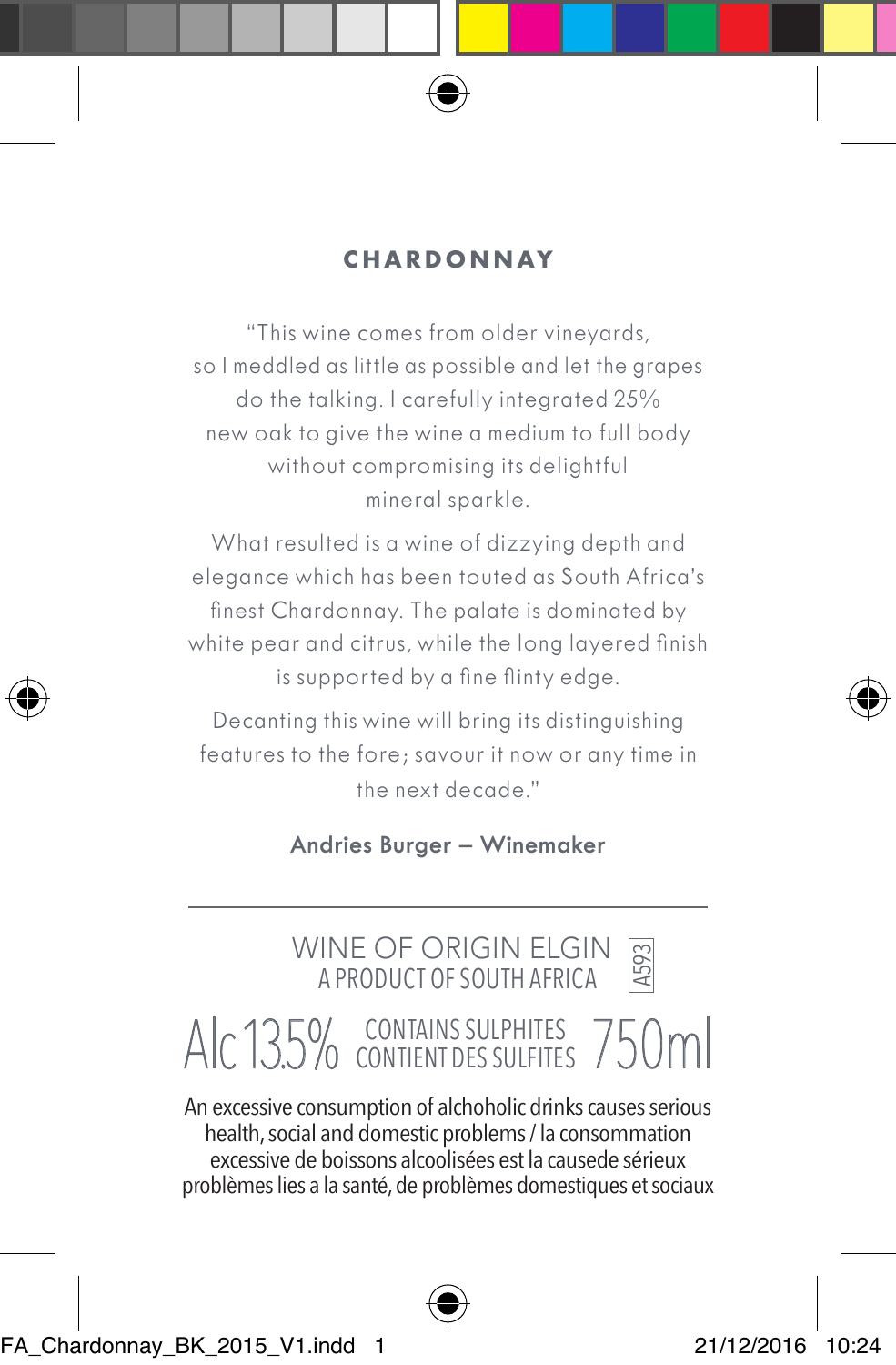

### **CHARDONNAY**

"This wine comes from older vineyards, so I meddled as little as possible and let the grapes do the talking. I carefully integrated 25% new oak to give the wine a medium to full body without compromising its delightful mineral sparkle.

What resulted is a wine of dizzying depth and elegance which has been touted as South Africa's finest Chardonnay. The palate is dominated by white pear and citrus, while the long layered finish is supported by a fine flinty edge.

Decanting this wine will bring its distinguishing features to the fore; savour it now or any time in the next decade."

**Andries Burger – Winemaker**

 WINE OF ORIGIN ELGIN A PRODUCT OF SOUTH AFRICA

A593

# Alc 13.5% CONTAINS SULPHITES 750ml

An excessive consumption of alchoholic drinks causes serious health, social and domestic problems / la consommation excessive de boissons alcoolisées est la causede sérieux problèmes lies a la santé, de problèmes domestiques et sociaux



FA\_Chardonnay\_BK\_2015\_V1.indd 1 21/12/2016 10:24

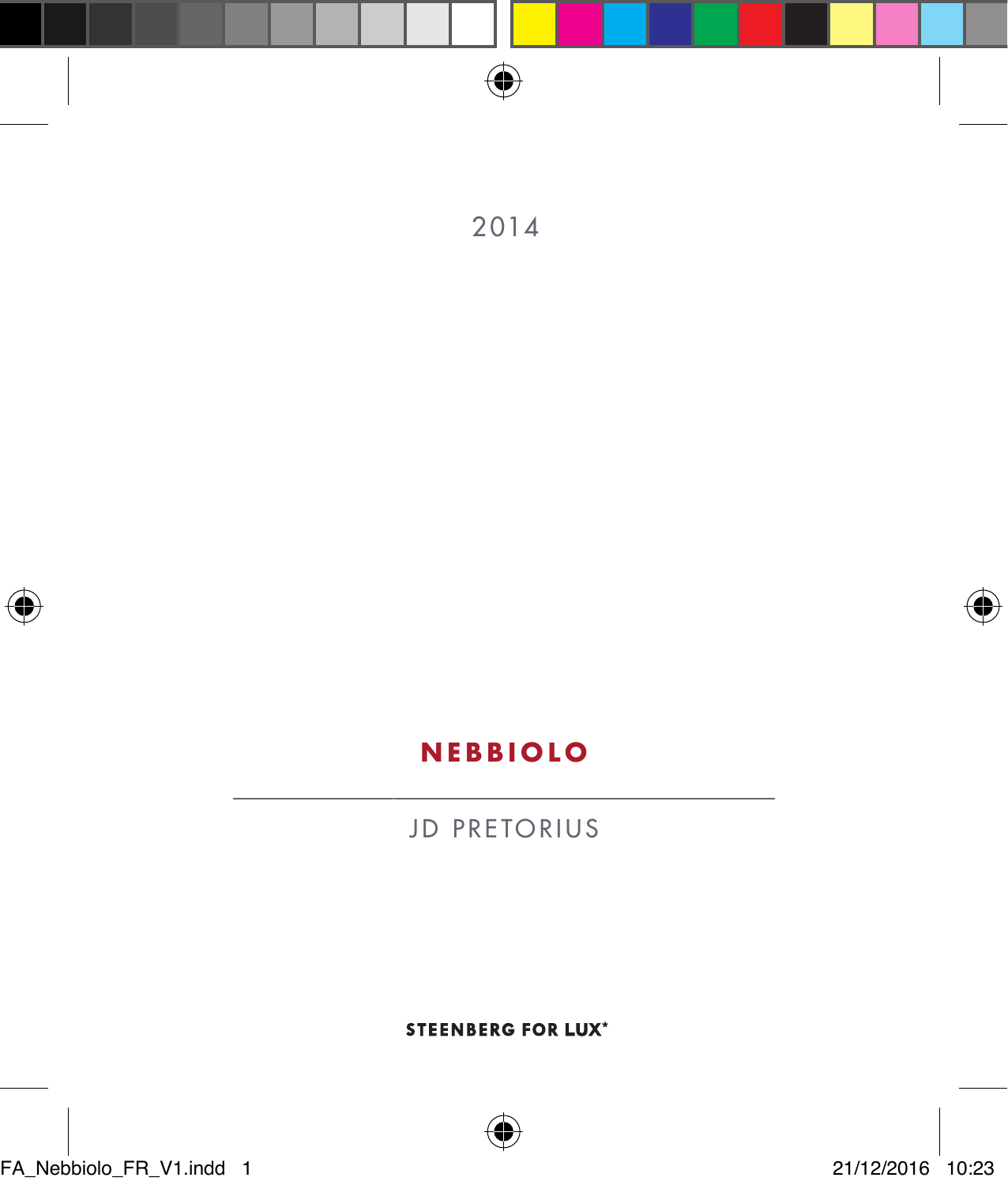

⊕

**STEENBERG FOR LUX\*** 

JD PRETORIUS

## **NEBBIOLO**





2014



FA\_Nebbiolo\_FR\_V1.indd 1 21/12/2016 10:23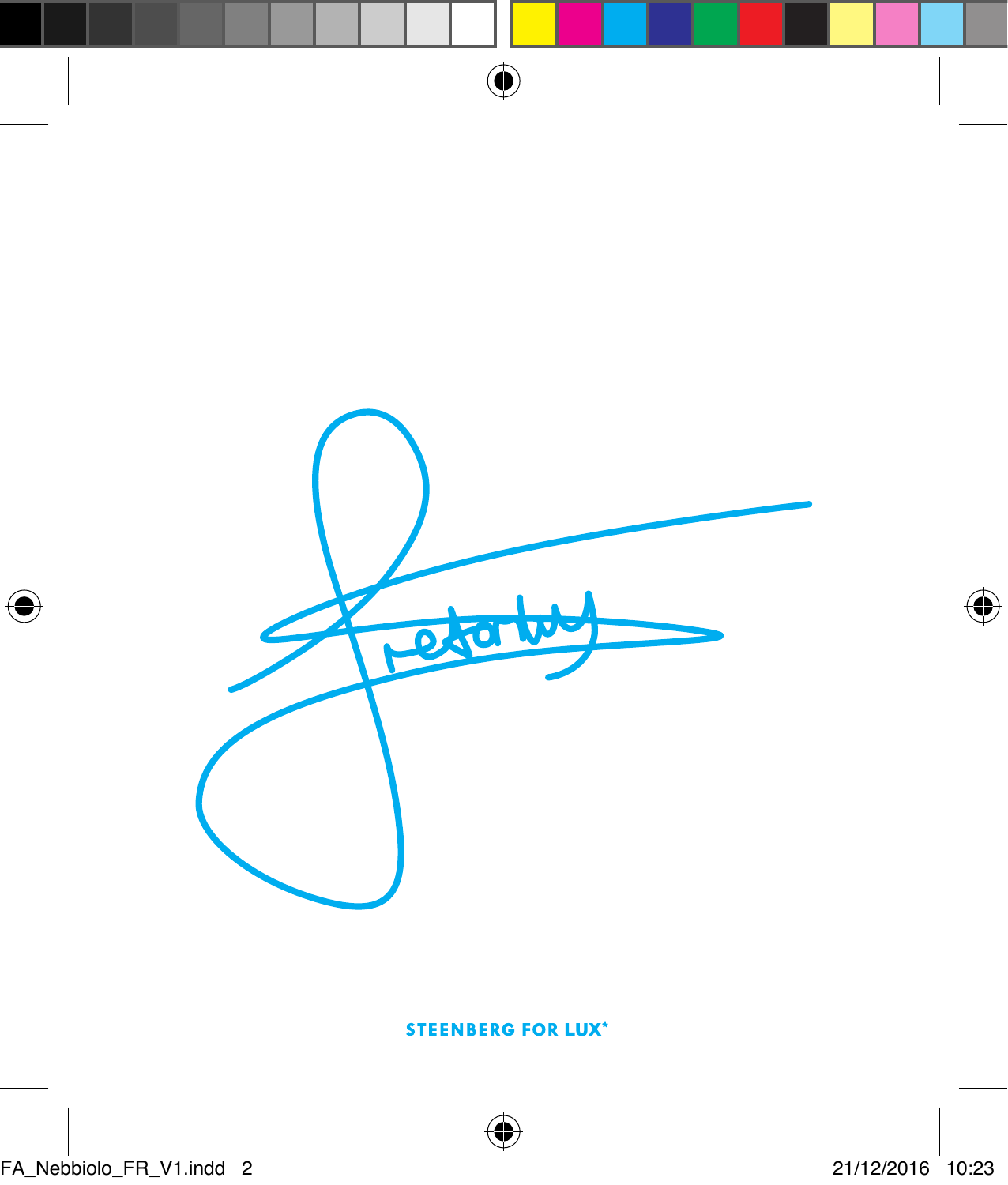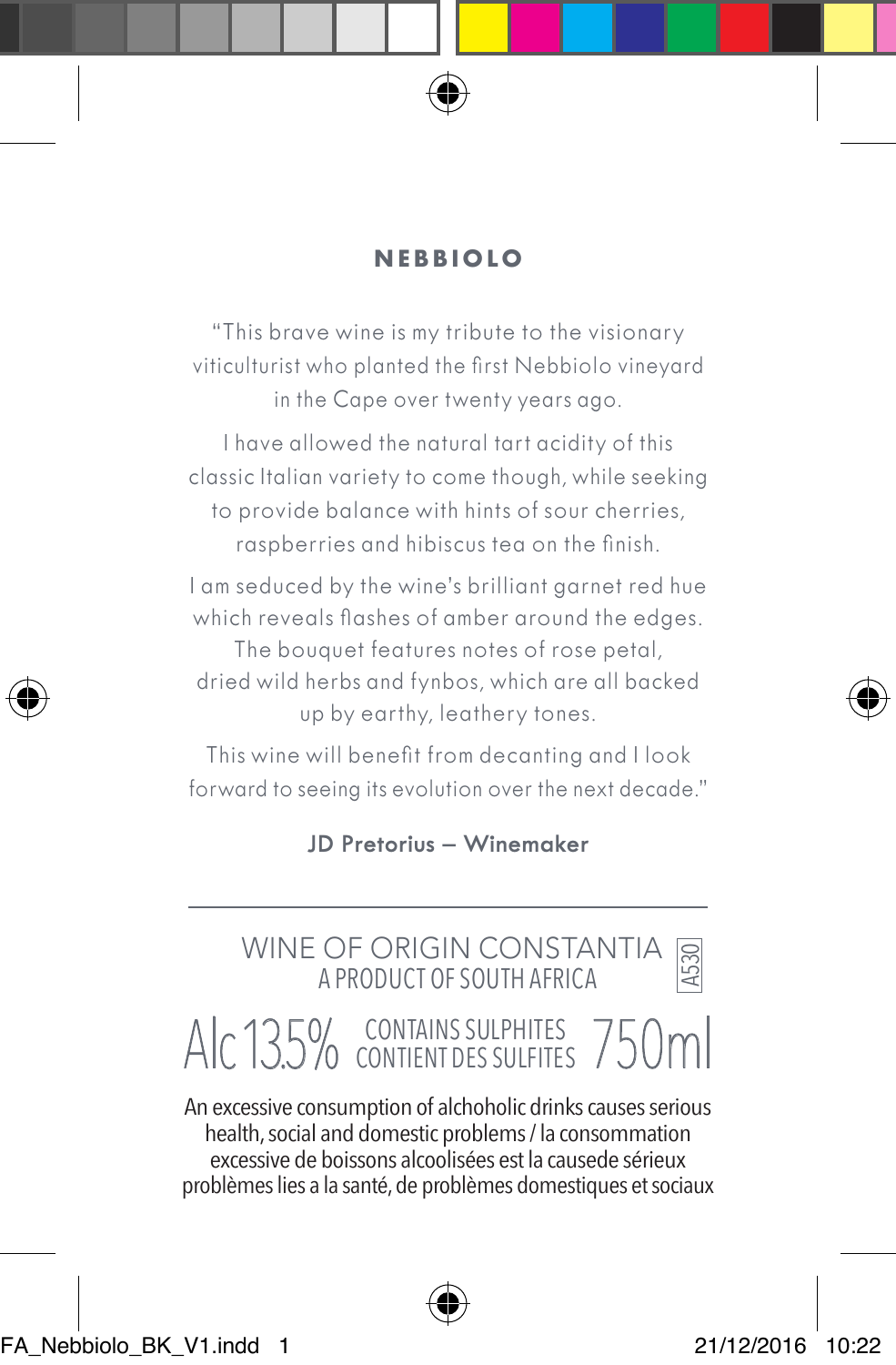

### **NEBBIOLO**

"This brave wine is my tribute to the visionary viticulturist who planted the first Nebbiolo vineyard in the Cape over twenty years ago.

I have allowed the natural tart acidity of this classic Italian variety to come though, while seeking to provide balance with hints of sour cherries, raspberries and hibiscus tea on the finish.

I am seduced by the wine's brilliant garnet red hue which reveals flashes of amber around the edges.

The bouquet features notes of rose petal, dried wild herbs and fynbos, which are all backed up by earthy, leathery tones.

This wine will benefit from decanting and I look forward to seeing its evolution over the next decade."

**JD Pretorius – Winemaker**

## WINE OF ORIGIN CONSTANTIA A PRODUCT OF SOUTH AFRICA

## Alc 13.5% CONTAINS SULPHITES 750ml

An excessive consumption of alchoholic drinks causes serious health, social and domestic problems / la consommation excessive de boissons alcoolisées est la causede sérieux problèmes lies a la santé, de problèmes domestiques et sociaux



A530

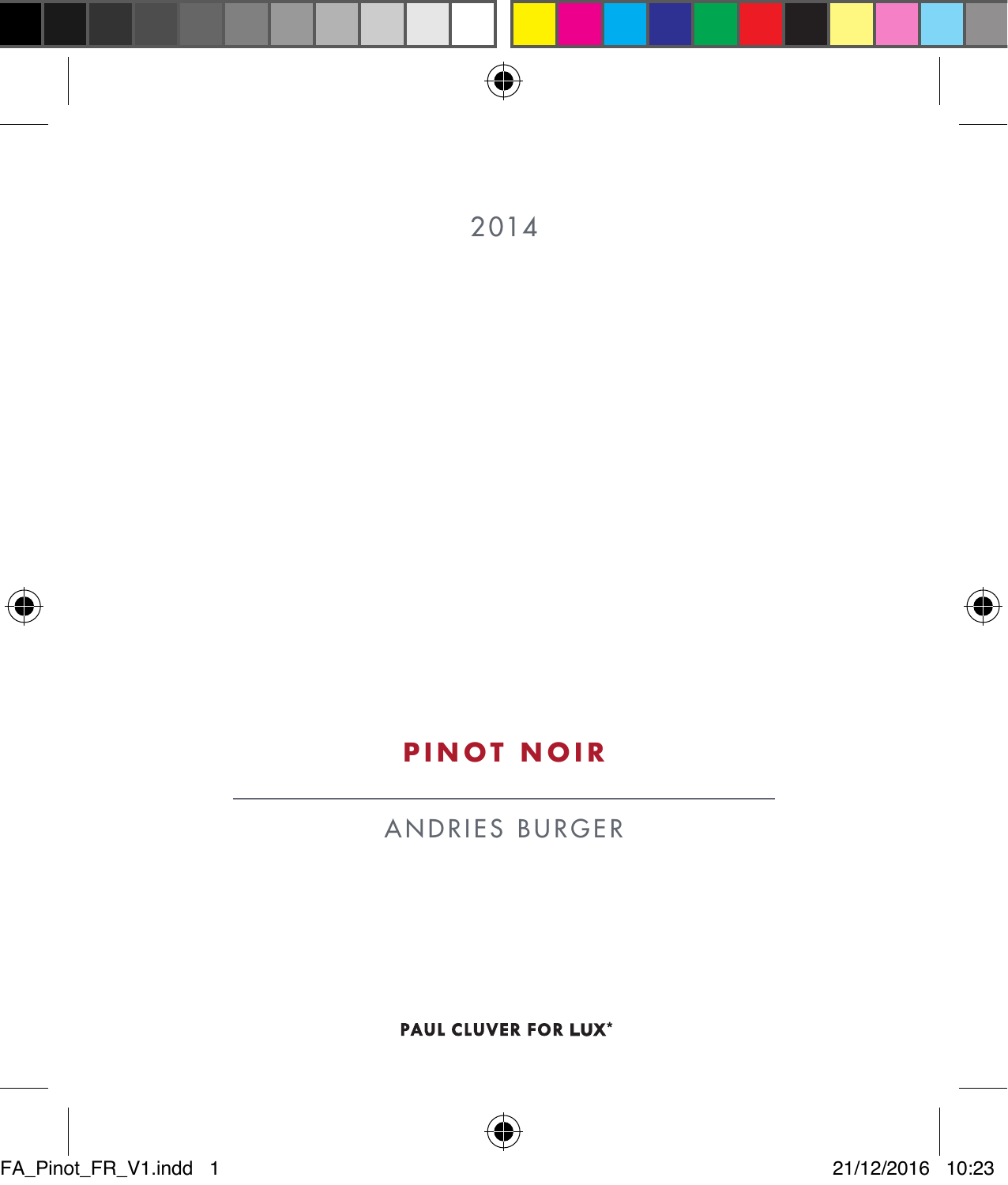





## **PINOT NOIR**

ANDRIES BURGER

PAUL CLUVER FOR LUX\*

FA\_Pinot\_FR\_V1.indd 1 21/12/2016 10:23

⊕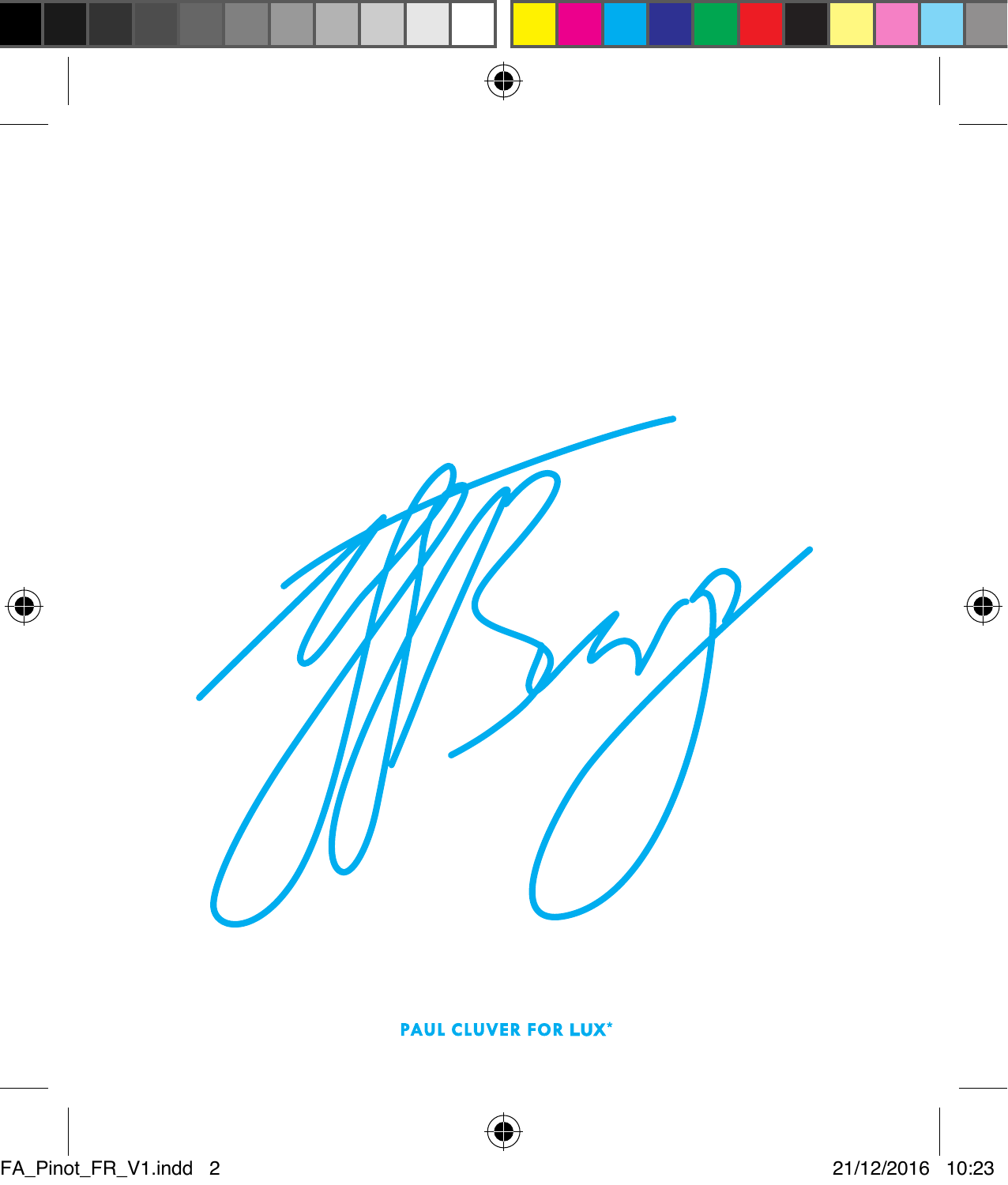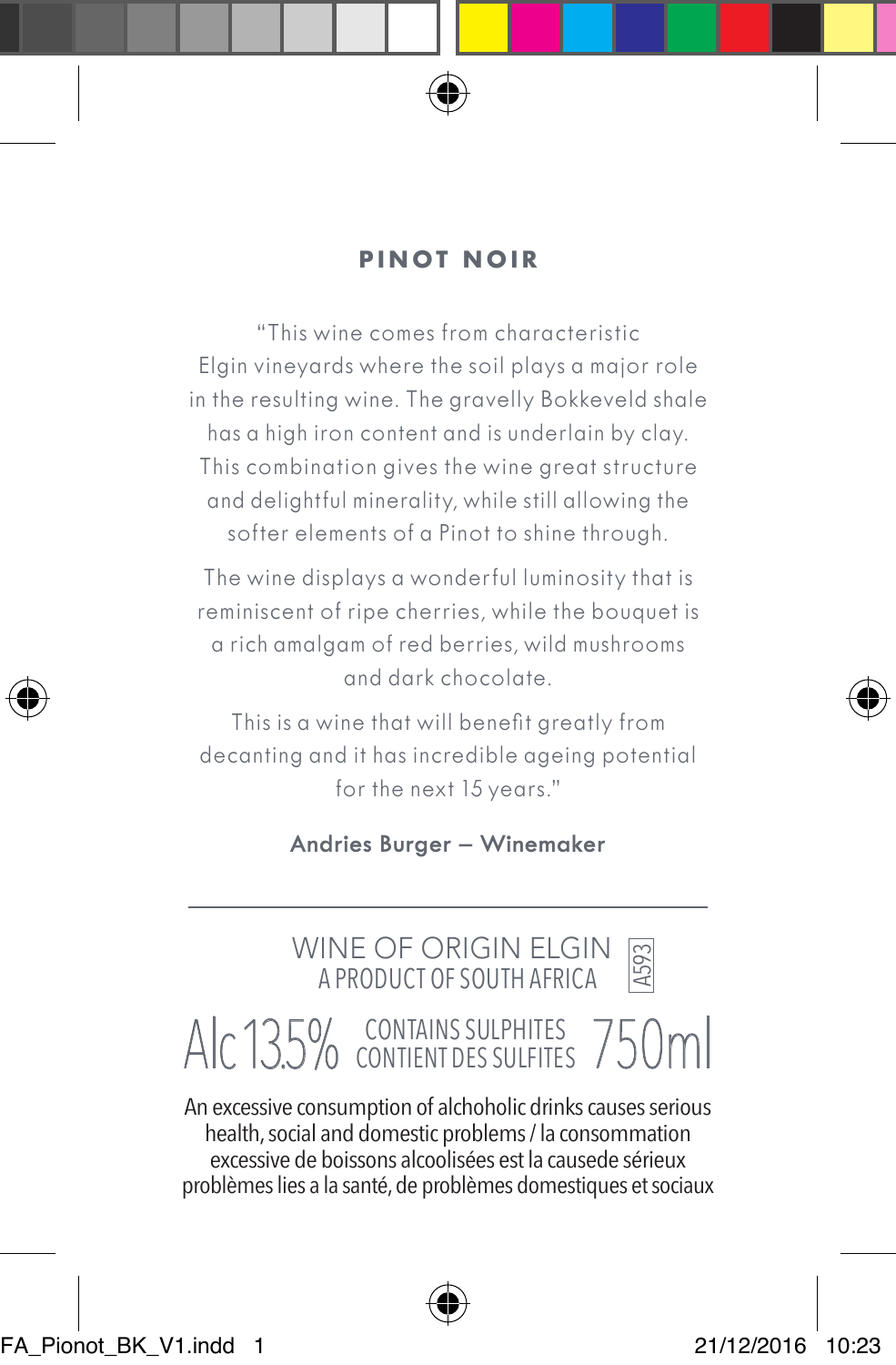

### **PINOT NOIR**

"This wine comes from characteristic Elgin vineyards where the soil plays a major role in the resulting wine. The gravelly Bokkeveld shale has a high iron content and is underlain by clay. This combination gives the wine great structure and delightful minerality, while still allowing the softer elements of a Pinot to shine through.

The wine displays a wonderful luminosity that is reminiscent of ripe cherries, while the bouquet is a rich amalgam of red berries, wild mushrooms and dark chocolate.

This is a wine that will benefit greatly from decanting and it has incredible ageing potential for the next 15 years."

**Andries Burger – Winemaker**

 WINE OF ORIGIN ELGIN A PRODUCT OF SOUTH AFRICA

A593

# Alc 13.5% CONTAINS SULPHITES 750ml

An excessive consumption of alchoholic drinks causes serious health, social and domestic problems / la consommation excessive de boissons alcoolisées est la causede sérieux problèmes lies a la santé, de problèmes domestiques et sociaux

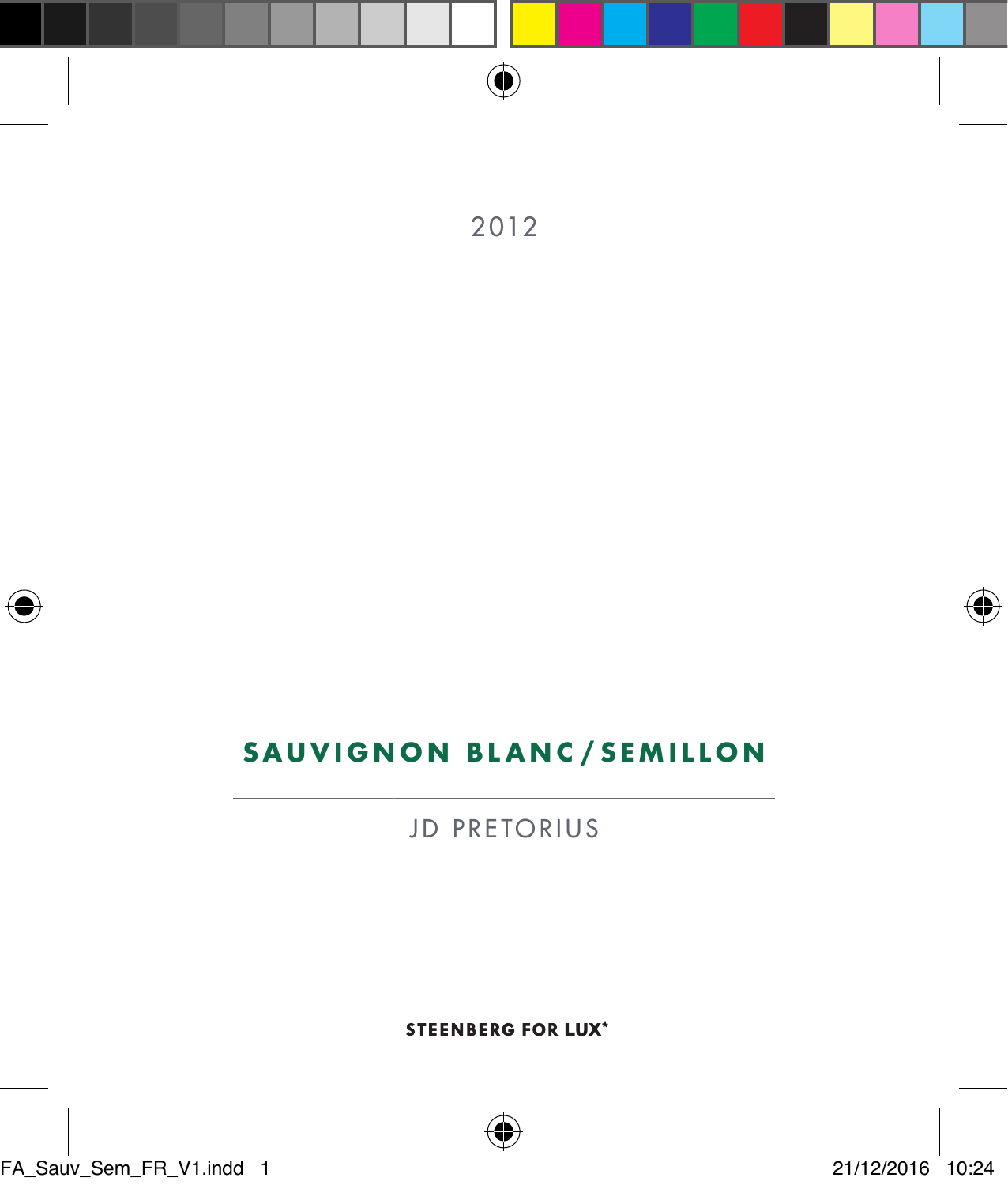





## **SAUVIGNON BLANC /SEMILLON**

JD PRETORIUS

**STEENBERG FOR LUX\***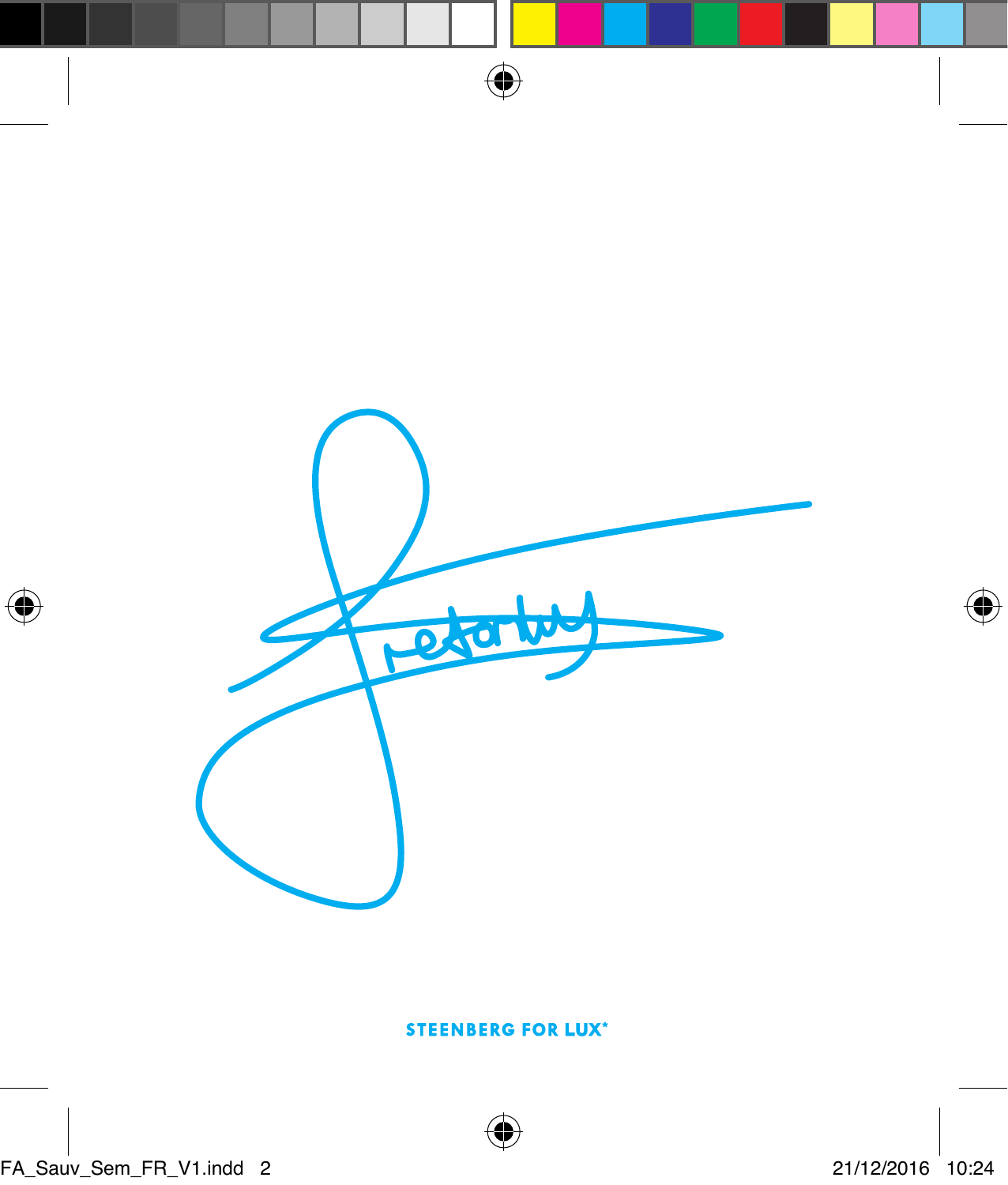